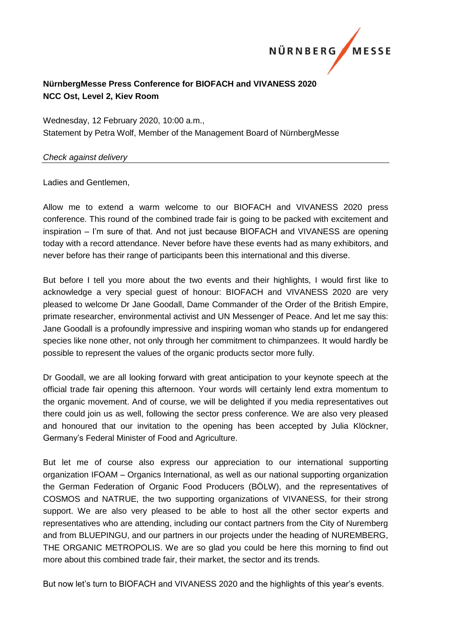

# **NürnbergMesse Press Conference for BIOFACH and VIVANESS 2020 NCC Ost, Level 2, Kiev Room**

Wednesday, 12 February 2020, 10:00 a.m., Statement by Petra Wolf, Member of the Management Board of NürnbergMesse

#### *Check against delivery*

Ladies and Gentlemen,

Allow me to extend a warm welcome to our BIOFACH and VIVANESS 2020 press conference. This round of the combined trade fair is going to be packed with excitement and inspiration – I'm sure of that. And not just because BIOFACH and VIVANESS are opening today with a record attendance. Never before have these events had as many exhibitors, and never before has their range of participants been this international and this diverse.

But before I tell you more about the two events and their highlights, I would first like to acknowledge a very special guest of honour: BIOFACH and VIVANESS 2020 are very pleased to welcome Dr Jane Goodall, Dame Commander of the Order of the British Empire, primate researcher, environmental activist and UN Messenger of Peace. And let me say this: Jane Goodall is a profoundly impressive and inspiring woman who stands up for endangered species like none other, not only through her commitment to chimpanzees. It would hardly be possible to represent the values of the organic products sector more fully.

Dr Goodall, we are all looking forward with great anticipation to your keynote speech at the official trade fair opening this afternoon. Your words will certainly lend extra momentum to the organic movement. And of course, we will be delighted if you media representatives out there could join us as well, following the sector press conference. We are also very pleased and honoured that our invitation to the opening has been accepted by Julia Klöckner, Germany's Federal Minister of Food and Agriculture.

But let me of course also express our appreciation to our international supporting organization IFOAM – Organics International, as well as our national supporting organization the German Federation of Organic Food Producers (BÖLW), and the representatives of COSMOS and NATRUE, the two supporting organizations of VIVANESS, for their strong support. We are also very pleased to be able to host all the other sector experts and representatives who are attending, including our contact partners from the City of Nuremberg and from BLUEPINGU, and our partners in our projects under the heading of NUREMBERG, THE ORGANIC METROPOLIS. We are so glad you could be here this morning to find out more about this combined trade fair, their market, the sector and its trends.

But now let's turn to BIOFACH and VIVANESS 2020 and the highlights of this year's events.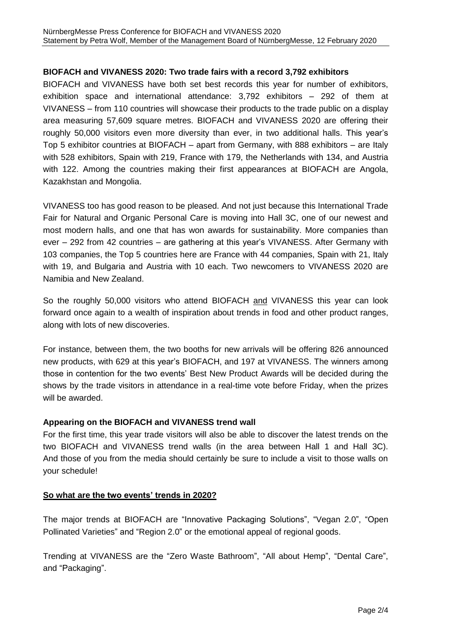### **BIOFACH and VIVANESS 2020: Two trade fairs with a record 3,792 exhibitors**

BIOFACH and VIVANESS have both set best records this year for number of exhibitors, exhibition space and international attendance: 3,792 exhibitors – 292 of them at VIVANESS – from 110 countries will showcase their products to the trade public on a display area measuring 57,609 square metres. BIOFACH and VIVANESS 2020 are offering their roughly 50,000 visitors even more diversity than ever, in two additional halls. This year's Top 5 exhibitor countries at BIOFACH – apart from Germany, with 888 exhibitors – are Italy with 528 exhibitors, Spain with 219, France with 179, the Netherlands with 134, and Austria with 122. Among the countries making their first appearances at BIOFACH are Angola, Kazakhstan and Mongolia.

VIVANESS too has good reason to be pleased. And not just because this International Trade Fair for Natural and Organic Personal Care is moving into Hall 3C, one of our newest and most modern halls, and one that has won awards for sustainability. More companies than ever – 292 from 42 countries – are gathering at this year's VIVANESS. After Germany with 103 companies, the Top 5 countries here are France with 44 companies, Spain with 21, Italy with 19, and Bulgaria and Austria with 10 each. Two newcomers to VIVANESS 2020 are Namibia and New Zealand.

So the roughly 50,000 visitors who attend BIOFACH and VIVANESS this year can look forward once again to a wealth of inspiration about trends in food and other product ranges, along with lots of new discoveries.

For instance, between them, the two booths for new arrivals will be offering 826 announced new products, with 629 at this year's BIOFACH, and 197 at VIVANESS. The winners among those in contention for the two events' Best New Product Awards will be decided during the shows by the trade visitors in attendance in a real-time vote before Friday, when the prizes will be awarded.

#### **Appearing on the BIOFACH and VIVANESS trend wall**

For the first time, this year trade visitors will also be able to discover the latest trends on the two BIOFACH and VIVANESS trend walls (in the area between Hall 1 and Hall 3C). And those of you from the media should certainly be sure to include a visit to those walls on your schedule!

#### **So what are the two events' trends in 2020?**

The major trends at BIOFACH are "Innovative Packaging Solutions", "Vegan 2.0", "Open Pollinated Varieties" and "Region 2.0" or the emotional appeal of regional goods.

Trending at VIVANESS are the "Zero Waste Bathroom", "All about Hemp", "Dental Care", and "Packaging".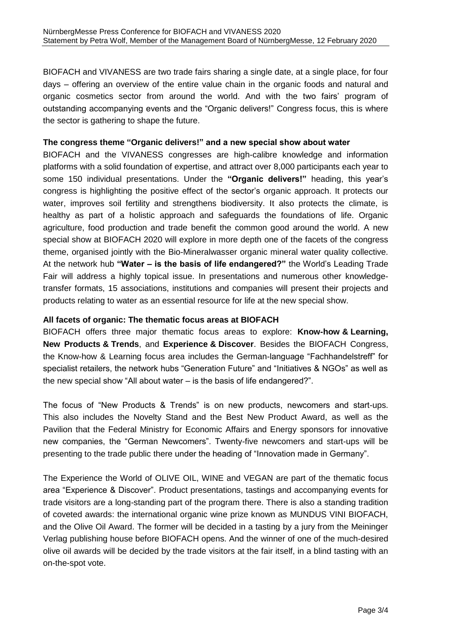BIOFACH and VIVANESS are two trade fairs sharing a single date, at a single place, for four days – offering an overview of the entire value chain in the organic foods and natural and organic cosmetics sector from around the world. And with the two fairs' program of outstanding accompanying events and the "Organic delivers!" Congress focus, this is where the sector is gathering to shape the future.

### **The congress theme "Organic delivers!" and a new special show about water**

BIOFACH and the VIVANESS congresses are high-calibre knowledge and information platforms with a solid foundation of expertise, and attract over 8,000 participants each year to some 150 individual presentations. Under the **"Organic delivers!"** heading, this year's congress is highlighting the positive effect of the sector's organic approach. It protects our water, improves soil fertility and strengthens biodiversity. It also protects the climate, is healthy as part of a holistic approach and safeguards the foundations of life. Organic agriculture, food production and trade benefit the common good around the world. A new special show at BIOFACH 2020 will explore in more depth one of the facets of the congress theme, organised jointly with the Bio-Mineralwasser organic mineral water quality collective. At the network hub **"Water – is the basis of life endangered?"** the World's Leading Trade Fair will address a highly topical issue. In presentations and numerous other knowledgetransfer formats, 15 associations, institutions and companies will present their projects and products relating to water as an essential resource for life at the new special show.

# **All facets of organic: The thematic focus areas at BIOFACH**

BIOFACH offers three major thematic focus areas to explore: **Know-how & Learning, New Products & Trends**, and **Experience & Discover**. Besides the BIOFACH Congress, the Know-how & Learning focus area includes the German-language "Fachhandelstreff" for specialist retailers, the network hubs "Generation Future" and "Initiatives & NGOs" as well as the new special show "All about water – is the basis of life endangered?".

The focus of "New Products & Trends" is on new products, newcomers and start-ups. This also includes the Novelty Stand and the Best New Product Award, as well as the Pavilion that the Federal Ministry for Economic Affairs and Energy sponsors for innovative new companies, the "German Newcomers". Twenty-five newcomers and start-ups will be presenting to the trade public there under the heading of "Innovation made in Germany".

The Experience the World of OLIVE OIL, WINE and VEGAN are part of the thematic focus area "Experience & Discover". Product presentations, tastings and accompanying events for trade visitors are a long-standing part of the program there. There is also a standing tradition of coveted awards: the international organic wine prize known as MUNDUS VINI BIOFACH, and the Olive Oil Award. The former will be decided in a tasting by a jury from the Meininger Verlag publishing house before BIOFACH opens. And the winner of one of the much-desired olive oil awards will be decided by the trade visitors at the fair itself, in a blind tasting with an on-the-spot vote.